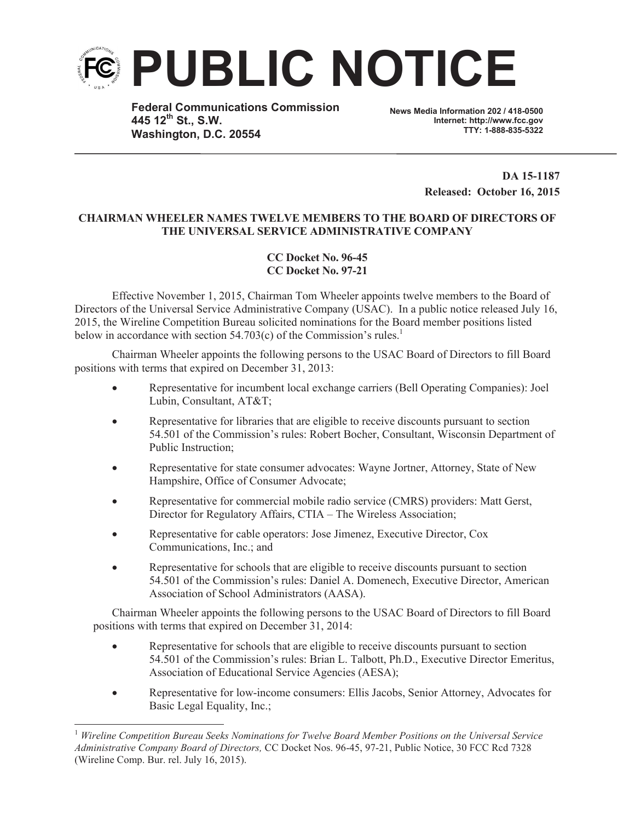

**Federal Communications Commission 445 12th St., S.W. Washington, D.C. 20554**

**News Media Information 202 / 418-0500 Internet: http://www.fcc.gov TTY: 1-888-835-5322**

> **DA 15-1187 Released: October 16, 2015**

## **CHAIRMAN WHEELER NAMES TWELVE MEMBERS TO THE BOARD OF DIRECTORS OF THE UNIVERSAL SERVICE ADMINISTRATIVE COMPANY**

## **CC Docket No. 96-45 CC Docket No. 97-21**

Effective November 1, 2015, Chairman Tom Wheeler appoints twelve members to the Board of Directors of the Universal Service Administrative Company (USAC). In a public notice released July 16, 2015, the Wireline Competition Bureau solicited nominations for the Board member positions listed below in accordance with section 54.703(c) of the Commission's rules.<sup>1</sup>

Chairman Wheeler appoints the following persons to the USAC Board of Directors to fill Board positions with terms that expired on December 31, 2013:

- · Representative for incumbent local exchange carriers (Bell Operating Companies): Joel Lubin, Consultant, AT&T;
- · Representative for libraries that are eligible to receive discounts pursuant to section 54.501 of the Commission's rules: Robert Bocher, Consultant, Wisconsin Department of Public Instruction;
- · Representative for state consumer advocates: Wayne Jortner, Attorney, State of New Hampshire, Office of Consumer Advocate;
- Representative for commercial mobile radio service (CMRS) providers: Matt Gerst, Director for Regulatory Affairs, CTIA – The Wireless Association;
- Representative for cable operators: Jose Jimenez, Executive Director, Cox Communications, Inc.; and
- · Representative for schools that are eligible to receive discounts pursuant to section 54.501 of the Commission's rules: Daniel A. Domenech, Executive Director, American Association of School Administrators (AASA).

Chairman Wheeler appoints the following persons to the USAC Board of Directors to fill Board positions with terms that expired on December 31, 2014:

- · Representative for schools that are eligible to receive discounts pursuant to section 54.501 of the Commission's rules: Brian L. Talbott, Ph.D., Executive Director Emeritus, Association of Educational Service Agencies (AESA);
- · Representative for low-income consumers: Ellis Jacobs, Senior Attorney, Advocates for Basic Legal Equality, Inc.;

<sup>1</sup> *Wireline Competition Bureau Seeks Nominations for Twelve Board Member Positions on the Universal Service Administrative Company Board of Directors,* CC Docket Nos. 96-45, 97-21, Public Notice, 30 FCC Rcd 7328 (Wireline Comp. Bur. rel. July 16, 2015).